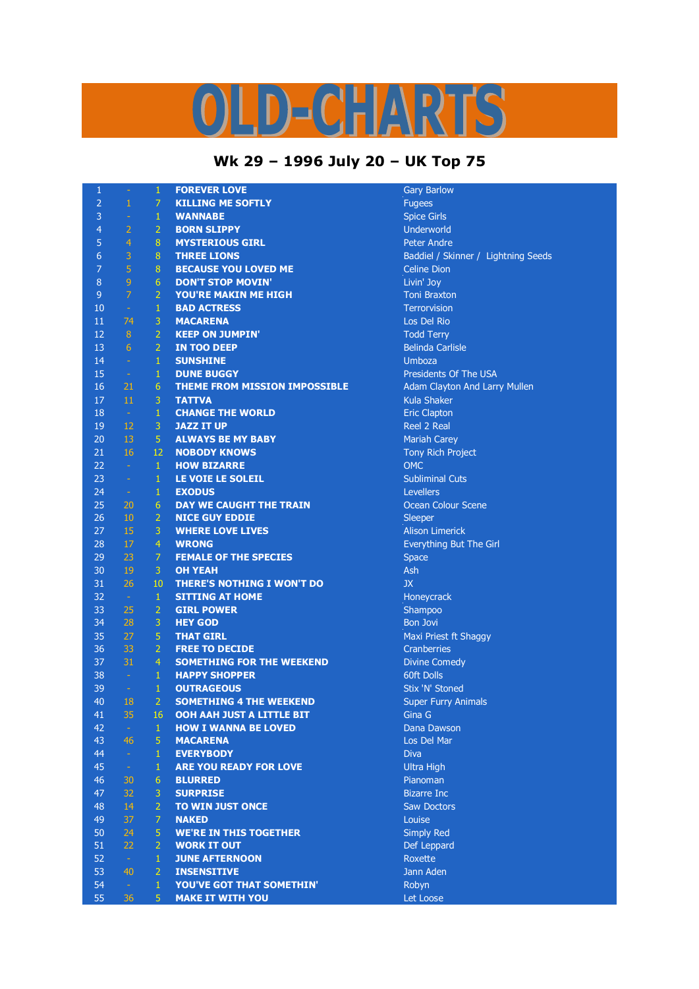## LD-CHARTS

## **Wk 29 – 1996 July 20 – UK Top 75**

| 1               | $\equiv$         | $\mathbf{1}$        | <b>FOREVER LOVE</b>                         | <b>Gary Barlow</b>                      |
|-----------------|------------------|---------------------|---------------------------------------------|-----------------------------------------|
| $\overline{2}$  | $\mathbf{1}$     | $\overline{7}$      | <b>KILLING ME SOFTLY</b>                    | <b>Fugees</b>                           |
| 3               | $\equiv$         | $\,1\,$             | <b>WANNABE</b>                              | <b>Spice Girls</b>                      |
| $\overline{4}$  | $\overline{2}$   | $\overline{2}$      | <b>BORN SLIPPY</b>                          | Underworld                              |
| 5               | $\overline{4}$   | $\bf 8$             | <b>MYSTERIOUS GIRL</b>                      | <b>Peter Andre</b>                      |
| $6\phantom{1}6$ | 3                | $\bf 8$             | <b>THREE LIONS</b>                          | Baddiel / Skinner / Lightning Seeds     |
| $\overline{7}$  | $\overline{5}$   | $\bf 8$             | <b>BECAUSE YOU LOVED ME</b>                 | <b>Celine Dion</b>                      |
| 8               | $\mathsf{9}$     | $6\phantom{.}6$     | <b>DON'T STOP MOVIN'</b>                    | Livin' Joy                              |
| 9               | $\overline{7}$   | $\overline{2}$      | <b>YOU'RE MAKIN ME HIGH</b>                 | <b>Toni Braxton</b>                     |
| 10              | $\sim$           | $\mathbf{1}$        | <b>BAD ACTRESS</b>                          | <b>Terrorvision</b>                     |
| 11              | 74               | 3                   | <b>MACARENA</b>                             | Los Del Rio                             |
| 12              | 8 <sup>°</sup>   | $\overline{2}$      | <b>KEEP ON JUMPIN'</b>                      | <b>Todd Terry</b>                       |
| 13              | $6\phantom{1}$   | $\overline{2}$      | <b>IN TOO DEEP</b>                          | <b>Belinda Carlisle</b>                 |
| 14              | $\omega$         | $\mathbf{1}$        | <b>SUNSHINE</b>                             | <b>Umboza</b>                           |
| 15              | $\omega$         | $\,1\,$             | <b>DUNE BUGGY</b>                           | Presidents Of The USA                   |
| 16              | 21               | $6\,$               | THEME FROM MISSION IMPOSSIBLE               | Adam Clayton And Larry Mullen           |
| 17              | 11               | $\overline{3}$      | <b>TATTVA</b>                               | <b>Kula Shaker</b>                      |
| 18              | $\sim$ $\sim$    | $\mathbf{1}$        | <b>CHANGE THE WORLD</b>                     | <b>Eric Clapton</b>                     |
| 19              | 12               | 3                   | <b>JAZZ IT UP</b>                           | <b>Reel 2 Real</b>                      |
| 20              | 13               | 5                   | <b>ALWAYS BE MY BABY</b>                    | <b>Mariah Carey</b>                     |
| 21              | 16               | 12                  | <b>NOBODY KNOWS</b>                         | Tony Rich Project                       |
| 22              | $\sim 10$        | $\mathbf{1}$        | <b>HOW BIZARRE</b>                          | <b>OMC</b>                              |
| 23              | $\sim$           | $\mathbf{1}$        | LE VOIE LE SOLEIL                           | <b>Subliminal Cuts</b>                  |
| 24              | $\sim$ .         | $\mathbf{1}$        | <b>EXODUS</b>                               | <b>Levellers</b>                        |
| 25              | 20               | $6\phantom{1}$      | <b>DAY WE CAUGHT THE TRAIN</b>              | <b>Ocean Colour Scene</b>               |
| 26              | 10 <sup>°</sup>  | $\overline{2}$      | <b>NICE GUY EDDIE</b>                       |                                         |
| 27              | 15               | 3                   | <b>WHERE LOVE LIVES</b>                     | Sleeper<br><b>Alison Limerick</b>       |
| 28              | 17               | $\overline{4}$      | <b>WRONG</b>                                |                                         |
| 29              | 23               | $\overline{7}$      | <b>FEMALE OF THE SPECIES</b>                | Everything But The Girl<br><b>Space</b> |
| 30              | 19               | 3                   | <b>OH YEAH</b>                              | Ash                                     |
| 31              | 26               | 10                  | <b>THERE'S NOTHING I WON'T DO</b>           | <b>JX</b>                               |
| 32              |                  | $\,1\,$             | <b>SITTING AT HOME</b>                      |                                         |
| 33              | $\sim$<br>25     | $\overline{2}$      | <b>GIRL POWER</b>                           | Honeycrack                              |
| 34              | 28               | 3                   | <b>HEY GOD</b>                              | Shampoo<br><b>Bon Jovi</b>              |
| 35              | 27               | 5                   | <b>THAT GIRL</b>                            | Maxi Priest ft Shaggy                   |
| 36              | 33               | $\overline{2}$      | <b>FREE TO DECIDE</b>                       | <b>Cranberries</b>                      |
| 37              | 31               | $\overline{4}$      | SOMETHING FOR THE WEEKEND                   | <b>Divine Comedy</b>                    |
| 38              | $\sim$           | $\mathbf{1}$        | <b>HAPPY SHOPPER</b>                        | 60ft Dolls                              |
| 39              |                  | $\mathbf{1}$        | <b>OUTRAGEOUS</b>                           | Stix 'N' Stoned                         |
| 40              | $\sim$<br>18     | $\overline{2}$      | <b>SOMETHING 4 THE WEEKEND</b>              | <b>Super Furry Animals</b>              |
| 41              | 35               | 16                  | <b>OOH AAH JUST A LITTLE BIT</b>            | Gina G                                  |
| 42              | $\sim$           | 1                   | <b>HOW I WANNA BE LOVED</b>                 | Dana Dawson                             |
| 43              | 46               | 5                   | <b>MACARENA</b>                             | Los Del Mar                             |
| 44              | $\sim$           | $\mathbf{1}$        | <b>EVERYBODY</b>                            | <b>Diva</b>                             |
| 45              | $\sim$ .         | $\mathbf{1}$        | <b>ARE YOU READY FOR LOVE</b>               |                                         |
| 46              | 30               | 6                   | <b>BLURRED</b>                              | <b>Ultra High</b><br>Pianoman           |
| 47              | 32               | 3                   | <b>SURPRISE</b>                             | <b>Bizarre Inc</b>                      |
| 48              | 14               | $\overline{2}$      |                                             | Saw Doctors                             |
| 49              | 37               | $\overline{7}$      | TO WIN JUST ONCE<br><b>NAKED</b>            | Louise                                  |
| 50              | 24               |                     | <b>WE'RE IN THIS TOGETHER</b>               | <b>Simply Red</b>                       |
| 51              |                  | 5<br>$\overline{2}$ |                                             |                                         |
|                 | 22               |                     | <b>WORK IT OUT</b><br><b>JUNE AFTERNOON</b> | Def Leppard                             |
| 52              | $\sim$           | 1                   |                                             | Roxette                                 |
| 53              | 40               | $\overline{2}$      | <b>INSENSITIVE</b>                          | Jann Aden                               |
| 54              | $\omega_{\rm c}$ | $\mathbf{1}$        | YOU'VE GOT THAT SOMETHIN'                   | Robyn                                   |
| 55              | 36               | 5                   | <b>MAKE IT WITH YOU</b>                     | Let Loose                               |